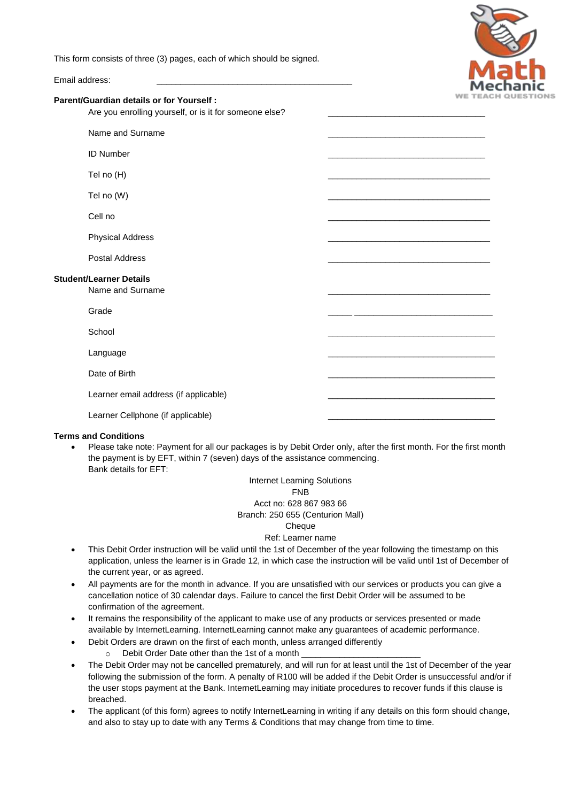This form consists of three (3) pages, each of which should be signed.



Email address:

#### **Parent/Guardian details or for Yourself :**

Are you enrolling yourself, or is it for someone else?

|                                                    | Name and Surname                      |  |
|----------------------------------------------------|---------------------------------------|--|
|                                                    |                                       |  |
|                                                    | <b>ID Number</b>                      |  |
|                                                    | Tel no (H)                            |  |
|                                                    | Tel no (W)                            |  |
|                                                    | Cell no                               |  |
|                                                    | <b>Physical Address</b>               |  |
|                                                    | Postal Address                        |  |
| <b>Student/Learner Details</b><br>Name and Surname |                                       |  |
|                                                    | Grade                                 |  |
|                                                    | School                                |  |
|                                                    | Language                              |  |
|                                                    | Date of Birth                         |  |
|                                                    | Learner email address (if applicable) |  |
|                                                    | Learner Cellphone (if applicable)     |  |
|                                                    |                                       |  |

### **Terms and Conditions**

 Please take note: Payment for all our packages is by Debit Order only, after the first month. For the first month the payment is by EFT, within 7 (seven) days of the assistance commencing. Bank details for EFT:

## Internet Learning Solutions FNB Acct no: 628 867 983 66 Branch: 250 655 (Centurion Mall)

#### Cheque

#### Ref: Learner name

- This Debit Order instruction will be valid until the 1st of December of the year following the timestamp on this application, unless the learner is in Grade 12, in which case the instruction will be valid until 1st of December of the current year, or as agreed.
- All payments are for the month in advance. If you are unsatisfied with our services or products you can give a cancellation notice of 30 calendar days. Failure to cancel the first Debit Order will be assumed to be confirmation of the agreement.
- It remains the responsibility of the applicant to make use of any products or services presented or made available by InternetLearning. InternetLearning cannot make any guarantees of academic performance.
- Debit Orders are drawn on the first of each month, unless arranged differently
	- $\circ$  Debit Order Date other than the 1st of a month
- The Debit Order may not be cancelled prematurely, and will run for at least until the 1st of December of the year following the submission of the form. A penalty of R100 will be added if the Debit Order is unsuccessful and/or if the user stops payment at the Bank. InternetLearning may initiate procedures to recover funds if this clause is breached.
- The applicant (of this form) agrees to notify InternetLearning in writing if any details on this form should change, and also to stay up to date with any Terms & Conditions that may change from time to time.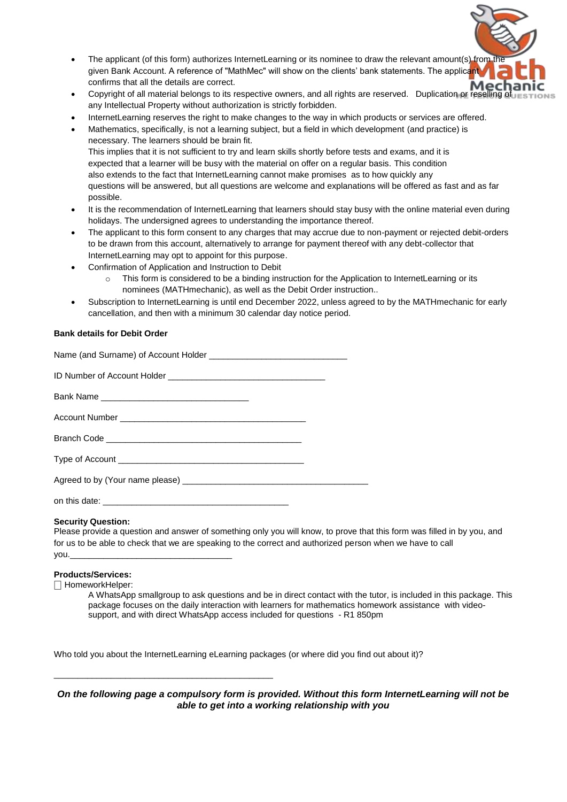- The applicant (of this form) authorizes InternetLearning or its nominee to draw the relevant amount(s) from given Bank Account. A reference of "MathMec" will show on the clients' bank statements. The applicant confirms that all the details are correct.
- Copyright of all material belongs to its respective owners, and all rights are reserved. Duplication or resell any Intellectual Property without authorization is strictly forbidden.
- InternetLearning reserves the right to make changes to the way in which products or services are offered.
- Mathematics, specifically, is not a learning subject, but a field in which development (and practice) is necessary. The learners should be brain fit. This implies that it is not sufficient to try and learn skills shortly before tests and exams, and it is expected that a learner will be busy with the material on offer on a regular basis. This condition also extends to the fact that InternetLearning cannot make promises as to how quickly any questions will be answered, but all questions are welcome and explanations will be offered as fast and as far possible.
- It is the recommendation of InternetLearning that learners should stay busy with the online material even during holidays. The undersigned agrees to understanding the importance thereof.
- The applicant to this form consent to any charges that may accrue due to non-payment or rejected debit-orders to be drawn from this account, alternatively to arrange for payment thereof with any debt-collector that InternetLearning may opt to appoint for this purpose.
- Confirmation of Application and Instruction to Debit
	- o This form is considered to be a binding instruction for the Application to InternetLearning or its nominees (MATHmechanic), as well as the Debit Order instruction..
- Subscription to InternetLearning is until end December 2022, unless agreed to by the MATHmechanic for early cancellation, and then with a minimum 30 calendar day notice period.

### **Bank details for Debit Order**

# **Security Question:**

Please provide a question and answer of something only you will know, to prove that this form was filled in by you, and for us to be able to check that we are speaking to the correct and authorized person when we have to call you.\_\_\_\_\_\_\_\_\_\_\_\_\_\_\_\_\_\_\_\_\_\_\_\_\_\_\_\_\_\_\_\_\_\_

### **Products/Services:**

⎕ HomeworkHelper:

A WhatsApp smallgroup to ask questions and be in direct contact with the tutor, is included in this package. This package focuses on the daily interaction with learners for mathematics homework assistance with videosupport, and with direct WhatsApp access included for questions - R1 850pm

Who told you about the InternetLearning eLearning packages (or where did you find out about it)?

\_\_\_\_\_\_\_\_\_\_\_\_\_\_\_\_\_\_\_\_\_\_\_\_\_\_\_\_\_\_\_\_\_\_\_\_\_\_\_\_\_\_\_\_\_\_

# *On the following page a compulsory form is provided. Without this form InternetLearning will not be able to get into a working relationship with you*